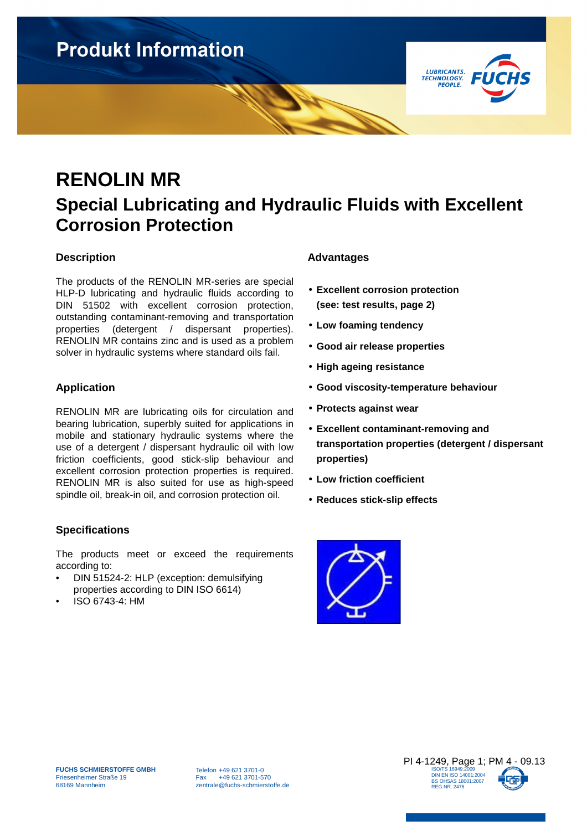

## **RENOLIN MR Special Lubricating and Hydraulic Fluids with Excellent Corrosion Protection**

### **Description**

The products of the RENOLIN MR-series are special HLP-D lubricating and hydraulic fluids according to DIN 51502 with excellent corrosion protection, outstanding contaminant-removing and transportation properties (detergent / dispersant properties). RENOLIN MR contains zinc and is used as a problem solver in hydraulic systems where standard oils fail.

### **Application**

RENOLIN MR are lubricating oils for circulation and bearing lubrication, superbly suited for applications in mobile and stationary hydraulic systems where the use of a detergent / dispersant hydraulic oil with low friction coefficients, good stick-slip behaviour and excellent corrosion protection properties is required. RENOLIN MR is also suited for use as high-speed spindle oil, break-in oil, and corrosion protection oil.

### **Specifications**

The products meet or exceed the requirements according to:

- DIN 51524-2: HLP (exception: demulsifying properties according to DIN ISO 6614)
- ISO 6743-4: HM

### **Advantages**

- **Excellent corrosion protection (see: test results, page 2)**
- **Low foaming tendency**
- **Good air release properties**
- **High ageing resistance**
- **Good viscosity-temperature behaviour**
- **Protects against wear**
- **Excellent contaminant-removing and transportation properties (detergent / dispersant properties)**
- **Low friction coefficient**
- **Reduces stick-slip effects**



Telefon +49 621 3701-0 Fax +49 621 3701-570 zentrale@fuchs-schmierstoffe.de

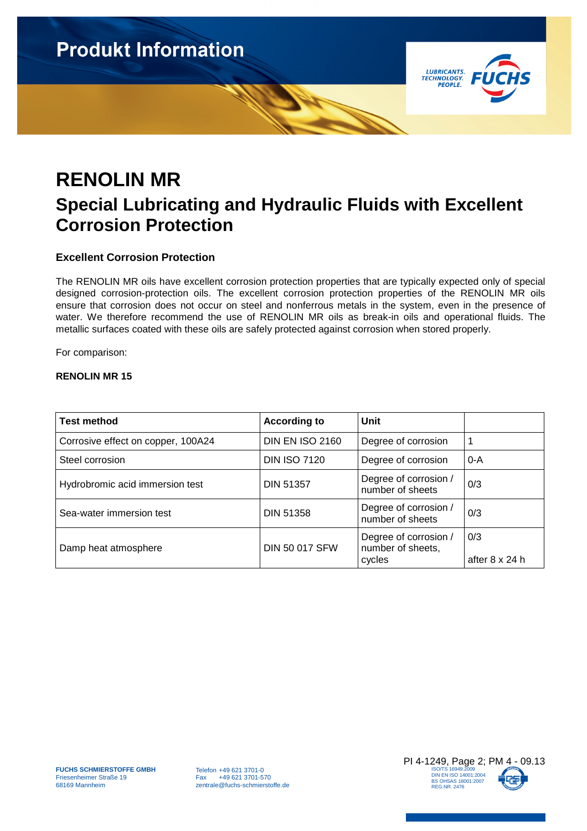

## **RENOLIN MR Special Lubricating and Hydraulic Fluids with Excellent Corrosion Protection**

### **Excellent Corrosion Protection**

The RENOLIN MR oils have excellent corrosion protection properties that are typically expected only of special designed corrosion-protection oils. The excellent corrosion protection properties of the RENOLIN MR oils ensure that corrosion does not occur on steel and nonferrous metals in the system, even in the presence of water. We therefore recommend the use of RENOLIN MR oils as break-in oils and operational fluids. The metallic surfaces coated with these oils are safely protected against corrosion when stored properly.

For comparison:

#### **RENOLIN MR 15**

| <b>Test method</b>                 | <b>According to</b>    | Unit                                                 |                       |
|------------------------------------|------------------------|------------------------------------------------------|-----------------------|
| Corrosive effect on copper, 100A24 | <b>DIN EN ISO 2160</b> | Degree of corrosion                                  |                       |
| Steel corrosion                    | <b>DIN ISO 7120</b>    | Degree of corrosion                                  | 0-A                   |
| Hydrobromic acid immersion test    | <b>DIN 51357</b>       | Degree of corrosion /<br>number of sheets            | 0/3                   |
| Sea-water immersion test           | <b>DIN 51358</b>       | Degree of corrosion /<br>number of sheets            | 0/3                   |
| Damp heat atmosphere               | <b>DIN 50 017 SFW</b>  | Degree of corrosion /<br>number of sheets,<br>cycles | 0/3<br>after 8 x 24 h |

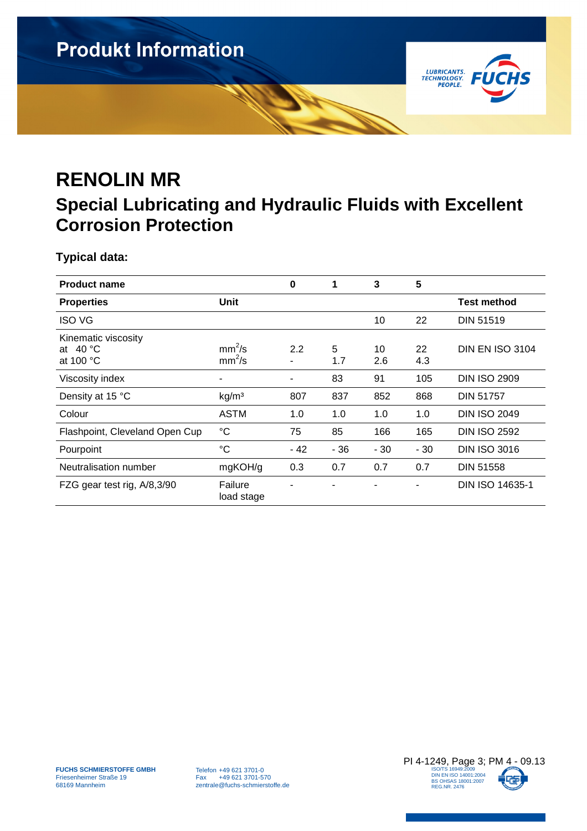

# **RENOLIN MR**

### **Special Lubricating and Hydraulic Fluids with Excellent Corrosion Protection**

**Typical data:** 

| <b>Product name</b>                                            |                       | $\bf{0}$ | 1        | 3         | 5         |                        |
|----------------------------------------------------------------|-----------------------|----------|----------|-----------|-----------|------------------------|
| <b>Properties</b>                                              | Unit                  |          |          |           |           | Test method            |
| <b>ISO VG</b>                                                  |                       |          |          | 10        | 22        | <b>DIN 51519</b>       |
| Kinematic viscosity<br>at $40^{\circ}$ C<br>at 100 $\degree$ C | $mm^2/s$<br>$mm^2/s$  | 2.2<br>۰ | 5<br>1.7 | 10<br>2.6 | 22<br>4.3 | <b>DIN EN ISO 3104</b> |
| Viscosity index                                                | ٠                     |          | 83       | 91        | 105       | <b>DIN ISO 2909</b>    |
| Density at 15 °C                                               | kg/m <sup>3</sup>     | 807      | 837      | 852       | 868       | <b>DIN 51757</b>       |
| Colour                                                         | <b>ASTM</b>           | 1.0      | 1.0      | 1.0       | 1.0       | <b>DIN ISO 2049</b>    |
| Flashpoint, Cleveland Open Cup                                 | $^{\circ}C$           | 75       | 85       | 166       | 165       | <b>DIN ISO 2592</b>    |
| Pourpoint                                                      | $\rm ^{\circ}C$       | - 42     | $-36$    | $-30$     | $-30$     | <b>DIN ISO 3016</b>    |
| Neutralisation number                                          | mgKOH/g               | 0.3      | 0.7      | 0.7       | 0.7       | <b>DIN 51558</b>       |
| FZG gear test rig, A/8,3/90                                    | Failure<br>load stage |          |          |           |           | DIN ISO 14635-1        |

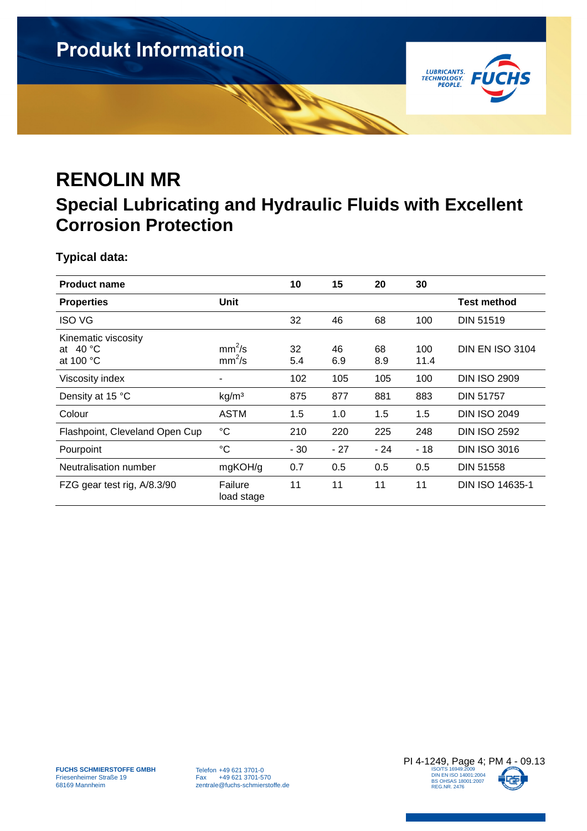

# **RENOLIN MR**

### **Special Lubricating and Hydraulic Fluids with Excellent Corrosion Protection**

**Typical data:** 

| <b>Product name</b>                                            |                       | 10        | 15        | 20        | 30          |                        |
|----------------------------------------------------------------|-----------------------|-----------|-----------|-----------|-------------|------------------------|
| <b>Properties</b>                                              | Unit                  |           |           |           |             | Test method            |
| <b>ISO VG</b>                                                  |                       | 32        | 46        | 68        | 100         | <b>DIN 51519</b>       |
| Kinematic viscosity<br>at $40^{\circ}$ C<br>at 100 $\degree$ C | $mm^2/s$<br>$mm^2/s$  | 32<br>5.4 | 46<br>6.9 | 68<br>8.9 | 100<br>11.4 | <b>DIN EN ISO 3104</b> |
| Viscosity index                                                |                       | 102       | 105       | 105       | 100         | <b>DIN ISO 2909</b>    |
| Density at 15 °C                                               | kg/m <sup>3</sup>     | 875       | 877       | 881       | 883         | <b>DIN 51757</b>       |
| Colour                                                         | <b>ASTM</b>           | 1.5       | 1.0       | 1.5       | 1.5         | <b>DIN ISO 2049</b>    |
| Flashpoint, Cleveland Open Cup                                 | $^{\circ}C$           | 210       | 220       | 225       | 248         | <b>DIN ISO 2592</b>    |
| Pourpoint                                                      | $\rm ^{\circ}C$       | $-30$     | $-27$     | $-24$     | $-18$       | <b>DIN ISO 3016</b>    |
| Neutralisation number                                          | mgKOH/g               | 0.7       | 0.5       | 0.5       | 0.5         | <b>DIN 51558</b>       |
| FZG gear test rig, A/8.3/90                                    | Failure<br>load stage | 11        | 11        | 11        | 11          | DIN ISO 14635-1        |

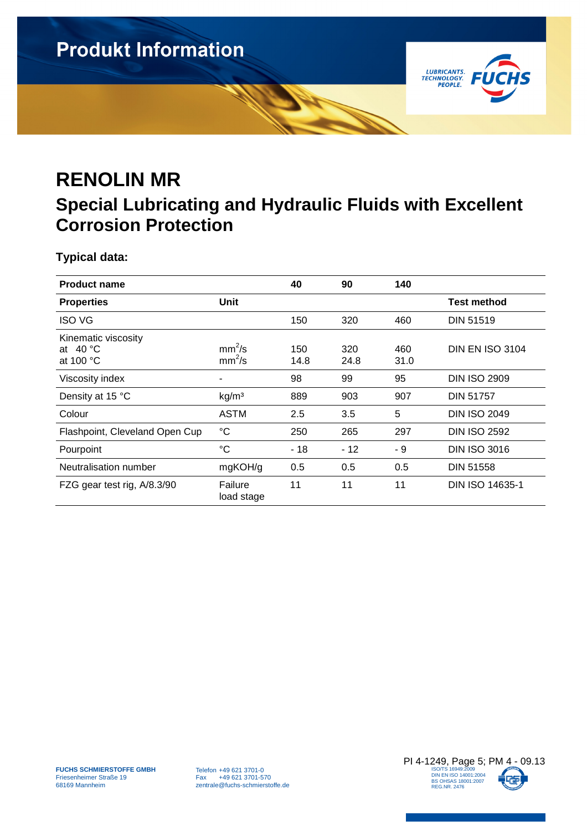

# **RENOLIN MR**

### **Special Lubricating and Hydraulic Fluids with Excellent Corrosion Protection**

**Typical data:** 

| <b>Product name</b>                                            |                       | 40          | 90          | 140         |                        |
|----------------------------------------------------------------|-----------------------|-------------|-------------|-------------|------------------------|
| <b>Properties</b>                                              | Unit                  |             |             |             | <b>Test method</b>     |
| <b>ISO VG</b>                                                  |                       | 150         | 320         | 460         | <b>DIN 51519</b>       |
| Kinematic viscosity<br>at $40^{\circ}$ C<br>at 100 $\degree$ C | $mm^2$ /s<br>$mm^2/s$ | 150<br>14.8 | 320<br>24.8 | 460<br>31.0 | <b>DIN EN ISO 3104</b> |
| Viscosity index                                                |                       | 98          | 99          | 95          | <b>DIN ISO 2909</b>    |
| Density at 15 °C                                               | kg/m <sup>3</sup>     | 889         | 903         | 907         | <b>DIN 51757</b>       |
| Colour                                                         | <b>ASTM</b>           | 2.5         | 3.5         | 5           | <b>DIN ISO 2049</b>    |
| Flashpoint, Cleveland Open Cup                                 | $^{\circ}C$           | 250         | 265         | 297         | <b>DIN ISO 2592</b>    |
| Pourpoint                                                      | $\rm ^{\circ}C$       | $-18$       | $-12$       | - 9         | <b>DIN ISO 3016</b>    |
| Neutralisation number                                          | mgKOH/g               | 0.5         | 0.5         | 0.5         | <b>DIN 51558</b>       |
| FZG gear test rig, A/8.3/90                                    | Failure<br>load stage | 11          | 11          | 11          | <b>DIN ISO 14635-1</b> |